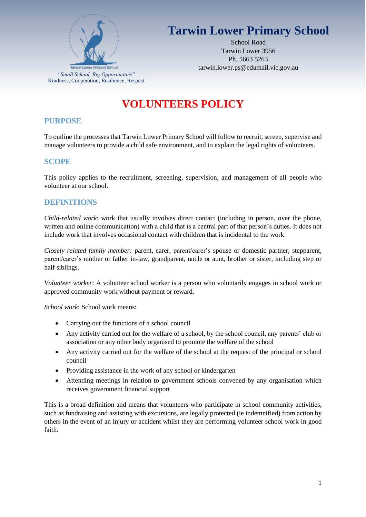

# **Tarwin Lower Primary School**

School Road Tarwin Lower 3956 Ph. 5663 5263 tarwin.lower.ps@edumail.vic.gov.au

# **VOLUNTEERS POLICY**

## **PURPOSE**

To outline the processes that Tarwin Lower Primary School will follow to recruit, screen, supervise and manage volunteers to provide a child safe environment, and to explain the legal rights of volunteers.

## **SCOPE**

This policy applies to the recruitment, screening, supervision, and management of all people who volunteer at our school.

## **DEFINITIONS**

*Child-related work*: work that usually involves direct contact (including in person, over the phone, written and online communication) with a child that is a central part of that person's duties. It does not include work that involves occasional contact with children that is incidental to the work.

*Closely related family member:* parent, carer, parent/carer's spouse or domestic partner, stepparent, parent/carer's mother or father in-law, grandparent, uncle or aunt, brother or sister, including step or half siblings.

*Volunteer worker*: A volunteer school worker is a person who voluntarily engages in school work or approved community work without payment or reward.

*School work*: School work means:

- Carrying out the functions of a school council
- Any activity carried out for the welfare of a school, by the school council, any parents' club or association or any other body organised to promote the welfare of the school
- Any activity carried out for the welfare of the school at the request of the principal or school council
- Providing assistance in the work of any school or kindergarten
- Attending meetings in relation to government schools convened by any organisation which receives government financial support

This is a broad definition and means that volunteers who participate in school community activities, such as fundraising and assisting with excursions, are legally protected (ie indemnified) from action by others in the event of an injury or accident whilst they are performing volunteer school work in good faith.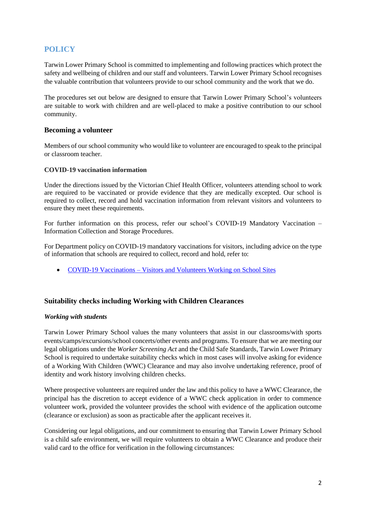## **POLICY**

Tarwin Lower Primary School is committed to implementing and following practices which protect the safety and wellbeing of children and our staff and volunteers. Tarwin Lower Primary School recognises the valuable contribution that volunteers provide to our school community and the work that we do.

The procedures set out below are designed to ensure that Tarwin Lower Primary School's volunteers are suitable to work with children and are well-placed to make a positive contribution to our school community.

#### **Becoming a volunteer**

Members of our school community who would like to volunteer are encouraged to speak to the principal or classroom teacher.

#### **COVID-19 vaccination information**

Under the directions issued by the Victorian Chief Health Officer, volunteers attending school to work are required to be vaccinated or provide evidence that they are medically excepted. Our school is required to collect, record and hold vaccination information from relevant visitors and volunteers to ensure they meet these requirements.

For further information on this process, refer our school's COVID-19 Mandatory Vaccination – Information Collection and Storage Procedures.

For Department policy on COVID-19 mandatory vaccinations for visitors, including advice on the type of information that schools are required to collect, record and hold, refer to:

• COVID-19 Vaccinations – [Visitors and Volunteers Working on School Sites](https://www2.education.vic.gov.au/pal/covid-19-vaccinations-visitors-volunteers/policy)

## **Suitability checks including Working with Children Clearances**

#### *Working with students*

Tarwin Lower Primary School values the many volunteers that assist in our classrooms/with sports events/camps/excursions/school concerts/other events and programs. To ensure that we are meeting our legal obligations under the *Worker Screening Act* and the Child Safe Standards, Tarwin Lower Primary School is required to undertake suitability checks which in most cases will involve asking for evidence of a Working With Children (WWC) Clearance and may also involve undertaking reference, proof of identity and work history involving children checks.

Where prospective volunteers are required under the law and this policy to have a WWC Clearance, the principal has the discretion to accept evidence of a WWC check application in order to commence volunteer work, provided the volunteer provides the school with evidence of the application outcome (clearance or exclusion) as soon as practicable after the applicant receives it.

Considering our legal obligations, and our commitment to ensuring that Tarwin Lower Primary School is a child safe environment, we will require volunteers to obtain a WWC Clearance and produce their valid card to the office for verification in the following circumstances: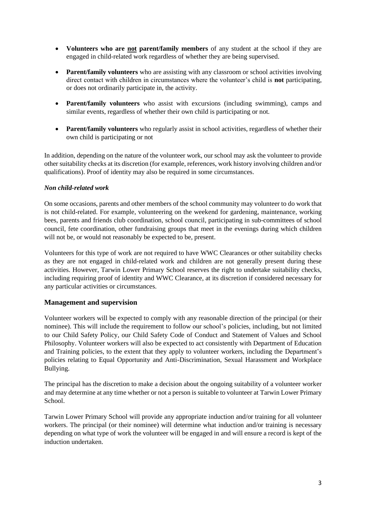- **Volunteers who are not parent/family members** of any student at the school if they are engaged in child-related work regardless of whether they are being supervised.
- **Parent/family volunteers** who are assisting with any classroom or school activities involving direct contact with children in circumstances where the volunteer's child is **not** participating, or does not ordinarily participate in, the activity.
- **Parent/family volunteers** who assist with excursions (including swimming), camps and similar events, regardless of whether their own child is participating or not.
- **Parent/family volunteers** who regularly assist in school activities, regardless of whether their own child is participating or not

In addition, depending on the nature of the volunteer work, our school may ask the volunteer to provide other suitability checks at its discretion (for example, references, work history involving children and/or qualifications). Proof of identity may also be required in some circumstances.

#### *Non child-related work*

On some occasions, parents and other members of the school community may volunteer to do work that is not child-related. For example, volunteering on the weekend for gardening, maintenance, working bees, parents and friends club coordination, school council, participating in sub-committees of school council, fete coordination, other fundraising groups that meet in the evenings during which children will not be, or would not reasonably be expected to be, present.

Volunteers for this type of work are not required to have WWC Clearances or other suitability checks as they are not engaged in child-related work and children are not generally present during these activities. However, Tarwin Lower Primary School reserves the right to undertake suitability checks, including requiring proof of identity and WWC Clearance, at its discretion if considered necessary for any particular activities or circumstances.

#### **Management and supervision**

Volunteer workers will be expected to comply with any reasonable direction of the principal (or their nominee). This will include the requirement to follow our school's policies, including, but not limited to our Child Safety Policy, our Child Safety Code of Conduct and Statement of Values and School Philosophy. Volunteer workers will also be expected to act consistently with Department of Education and Training policies, to the extent that they apply to volunteer workers, including the Department's policies relating to Equal Opportunity and Anti-Discrimination, Sexual Harassment and Workplace Bullying.

The principal has the discretion to make a decision about the ongoing suitability of a volunteer worker and may determine at any time whether or not a person is suitable to volunteer at Tarwin Lower Primary School.

Tarwin Lower Primary School will provide any appropriate induction and/or training for all volunteer workers. The principal (or their nominee) will determine what induction and/or training is necessary depending on what type of work the volunteer will be engaged in and will ensure a record is kept of the induction undertaken.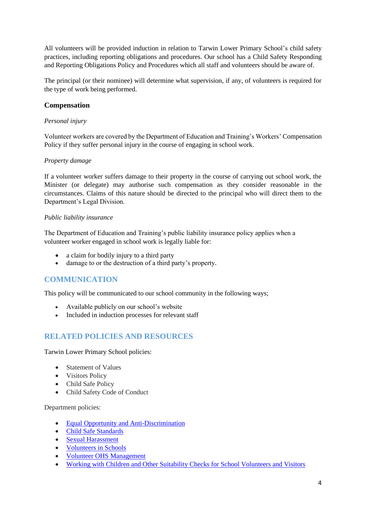All volunteers will be provided induction in relation to Tarwin Lower Primary School's child safety practices, including reporting obligations and procedures. Our school has a Child Safety Responding and Reporting Obligations Policy and Procedures which all staff and volunteers should be aware of.

The principal (or their nominee) will determine what supervision, if any, of volunteers is required for the type of work being performed.

#### **Compensation**

#### *Personal injury*

Volunteer workers are covered by the Department of Education and Training's Workers' Compensation Policy if they suffer personal injury in the course of engaging in school work.

#### *Property damage*

If a volunteer worker suffers damage to their property in the course of carrying out school work, the Minister (or delegate) may authorise such compensation as they consider reasonable in the circumstances. Claims of this nature should be directed to the principal who will direct them to the Department's Legal Division.

#### *Public liability insurance*

The Department of Education and Training's public liability insurance policy applies when a volunteer worker engaged in school work is legally liable for:

- a claim for bodily injury to a third party
- damage to or the destruction of a third party's property.

## **COMMUNICATION**

This policy will be communicated to our school community in the following ways;

- Available publicly on our school's website
- Included in induction processes for relevant staff

## **RELATED POLICIES AND RESOURCES**

Tarwin Lower Primary School policies:

- Statement of Values
- Visitors Policy
- Child Safe Policy
- Child Safety Code of Conduct

Department policies:

- [Equal Opportunity and Anti-Discrimination](https://www2.education.vic.gov.au/pal/equal-opportunity/policy-and-guidelines)
- [Child Safe Standards](https://www2.education.vic.gov.au/pal/child-safe-standards/policy)
- [Sexual Harassment](https://www2.education.vic.gov.au/pal/sexual-harassment/policy-and-guidelines)
- [Volunteers in Schools](https://www2.education.vic.gov.au/pal/volunteers/policy)
- [Volunteer OHS Management](https://www2.education.vic.gov.au/pal/volunteer-ohs-management/policy)
- [Working with Children and Other Suitability Checks for School Volunteers and Visitors](https://www2.education.vic.gov.au/pal/suitability-checks/policy)